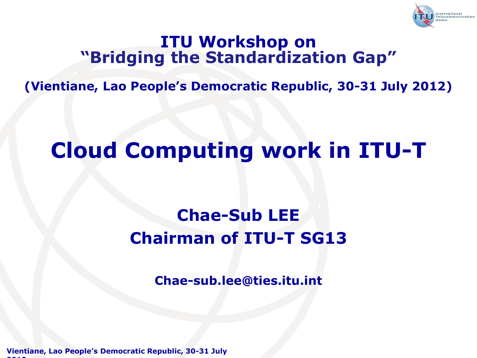

#### **ITU Workshop on "Bridging the Standardization Gap"**

**(Vientiane, Lao People's Democratic Republic, 30-31 July 2012)**

### **Cloud Computing work in ITU-T**

### **Chae-Sub LEE Chairman of ITU-T SG13**

**Chae-sub.lee@ties.itu.int**

**Vientiane, Lao People's Democratic Republic, 30-31 July 2012**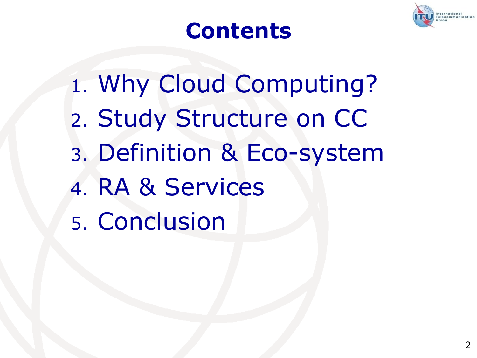

### **Contents**

1. Why Cloud Computing? 2. Study Structure on CC 3. Definition & Eco-system 4. RA & Services 5. Conclusion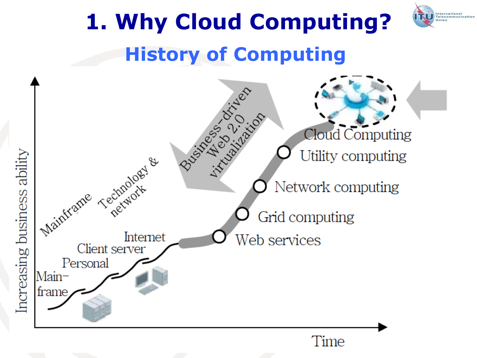

International<br>Telecommunication

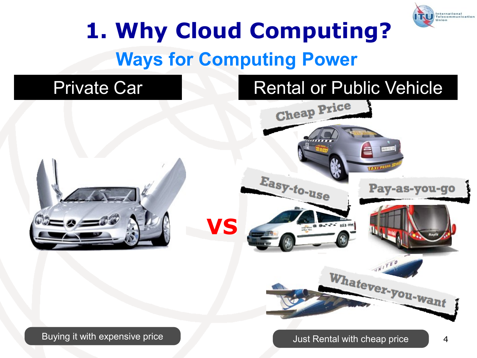

## **Ways for Computing Power 1. Why Cloud Computing?**

#### Private Car

#### Rental or Public Vehicle

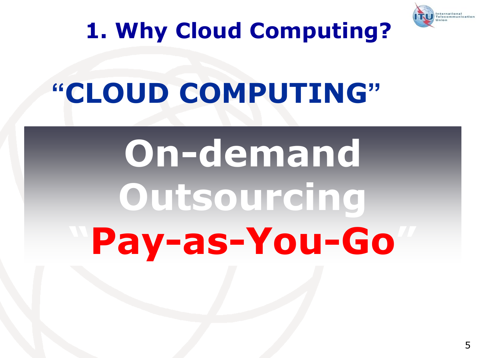

## **1. Why Cloud Computing?**

## **"CLOUD COMPUTING"**

# **On-demand Outsourcing "Pay-as-You-Go"**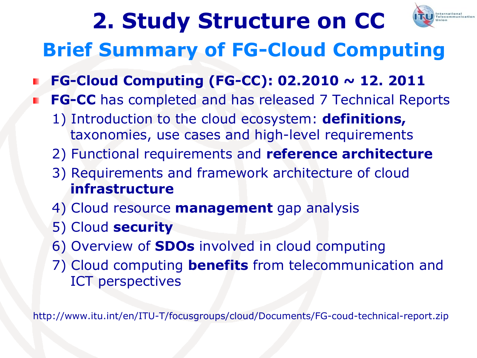## **2. Study Structure on CC**



### **Brief Summary of FG-Cloud Computing**

- **FG-Cloud Computing (FG-CC): 02.2010 ~ 12. 2011**
- **FG-CC** has completed and has released 7 Technical Reports
	- 1) Introduction to the cloud ecosystem: **definitions,**  taxonomies, use cases and high-level requirements
	- 2) Functional requirements and **reference architecture**
	- 3) Requirements and framework architecture of cloud **infrastructure**
	- 4) Cloud resource **management** gap analysis
	- 5) Cloud **security**
	- 6) Overview of **SDOs** involved in cloud computing
	- 7) Cloud computing **benefits** from telecommunication and ICT perspectives

http://www.itu.int/en/ITU-T/focusgroups/cloud/Documents/FG-coud-technical-report.zip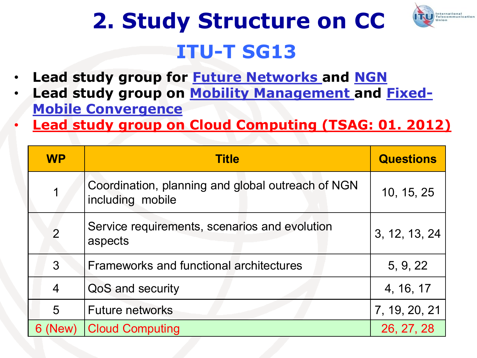

## **ITU-T SG13 2. Study Structure on CC**

- **Lead study group for Future Networks and NGN**
- Lead study group on **Mobility Management** and **Fixed-Mobile Convergence**
- **Lead study group on Cloud Computing (TSAG: 01. 2012)**

| <b>WP</b>      | <b>Title</b>                                                          | <b>Questions</b> |
|----------------|-----------------------------------------------------------------------|------------------|
|                | Coordination, planning and global outreach of NGN<br>including mobile | 10, 15, 25       |
| $\overline{2}$ | Service requirements, scenarios and evolution<br>aspects              | 3, 12, 13, 24    |
| 3              | <b>Frameworks and functional architectures</b>                        | 5, 9, 22         |
| $\overline{4}$ | QoS and security                                                      | 4, 16, 17        |
| 5              | <b>Future networks</b>                                                | 7, 19, 20, 21    |
| New)           | <b>Cloud Computing</b>                                                | 26, 27, 28       |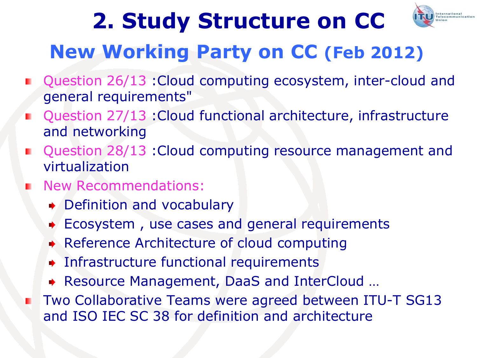## **2. Study Structure on CC**



### **New Working Party on CC (Feb 2012)**

- Question 26/13 : Cloud computing ecosystem, inter-cloud and general requirements"
- Question 27/13 :Cloud functional architecture, infrastructure and networking
- Question 28/13 :Cloud computing resource management and virtualization
- New Recommendations:
	- Definition and vocabulary
	- Ecosystem , use cases and general requirements
	- Reference Architecture of cloud computing
	- Infrastructure functional requirements
	- Resource Management, DaaS and InterCloud …
- Two Collaborative Teams were agreed between ITU-T SG13 and ISO IEC SC 38 for definition and architecture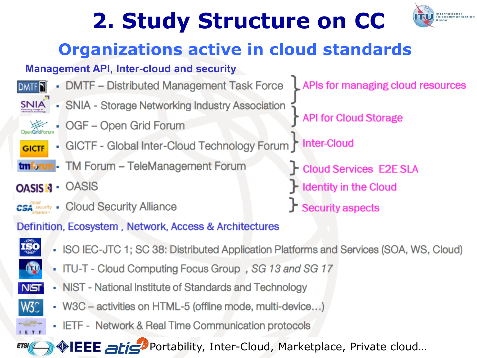## **2. Study Structure on CC**



### **Organizations active in cloud standards**

#### **Management API, Inter-cloud and security**

íso

W3C

**ETSI** 



- ISO IEC-JTC 1; SC 38: Distributed Application Platforms and Services (SOA, WS, Cloud)
- ITU-T Cloud Computing Focus Group, SG 13 and SG 17
- NIST National Institute of Standards and Technology NIST
	- W3C activities on HTML-5 (offline mode, multi-device...)
	- IETF Network & Real Time Communication protocols

**IEEE** atis<sup>3</sup> Portability, Inter-Cloud, Marketplace, Private cloud...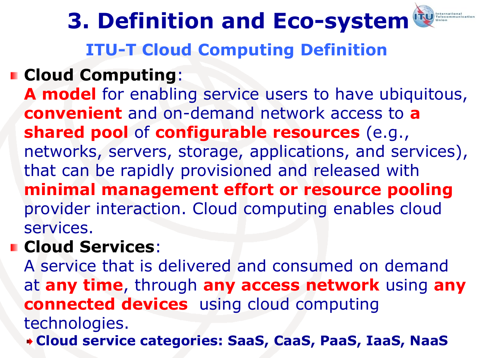**ITU-T Cloud Computing Definition 3. Definition and Eco-system**

#### **Cloud Computing**:

**A model** for enabling service users to have ubiquitous, **convenient** and on-demand network access to **a shared pool** of **configurable resources** (e.g., networks, servers, storage, applications, and services), that can be rapidly provisioned and released with **minimal management effort or resource pooling** provider interaction. Cloud computing enables cloud services.

#### **Cloud Services**:

A service that is delivered and consumed on demand at **any time**, through **any access network** using **any connected devices** using cloud computing technologies.

**Cloud service categories: SaaS, CaaS, PaaS, IaaS, NaaS**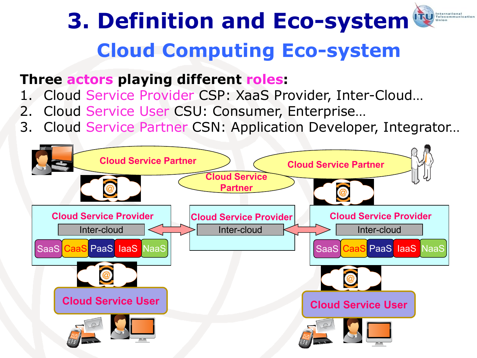#### International<br>Telecommunication **3. Definition and Eco-systemCloud Computing Eco-system**

#### **Three actors playing different roles:**

- 1. Cloud Service Provider CSP: XaaS Provider, Inter-Cloud…
- 2. Cloud Service User CSU: Consumer, Enterprise…
- 3. Cloud Service Partner CSN: Application Developer, Integrator…

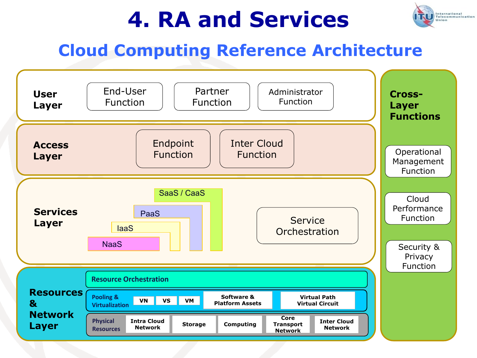

#### **Cloud Computing Reference Architecture**

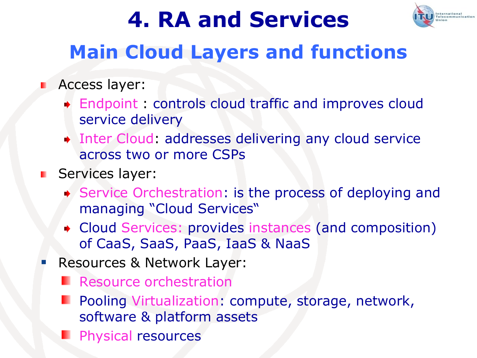

### **Main Cloud Layers and functions**

#### **Access layer:**

- Endpoint : controls cloud traffic and improves cloud service delivery
- Inter Cloud: addresses delivering any cloud service across two or more CSPs
- **Services layer:** 
	- ◆ Service Orchestration: is the process of deploying and managing "Cloud Services"
	- Cloud Services: provides instances (and composition) of CaaS, SaaS, PaaS, IaaS & NaaS
	- Resources & Network Layer:
		- **Resource orchestration**
		- Pooling Virtualization: compute, storage, network, software & platform assets
		- Physical resources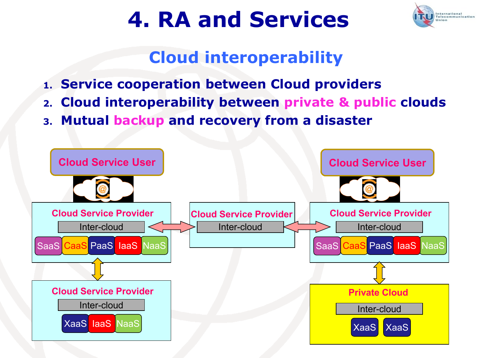

### **Cloud interoperability**

- **1. Service cooperation between Cloud providers**
- **2. Cloud interoperability between private & public clouds**
- **3. Mutual backup and recovery from a disaster**

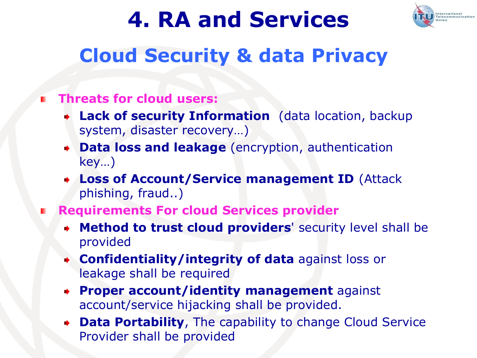

### **Cloud Security & data Privacy**

#### **Threats for cloud users:**

- **Lack of security Information** (data location, backup system, disaster recovery…)
- **Data loss and leakage** (encryption, authentication key…)
- **Loss of Account/Service management ID** (Attack phishing, fraud..)
- **Requirements For cloud Services provider**
	- **Method to trust cloud providers**' security level shall be provided
	- **Confidentiality/integrity of data** against loss or leakage shall be required
	- **Proper account/identity management** against account/service hijacking shall be provided.
	- **Data Portability**, The capability to change Cloud Service Provider shall be provided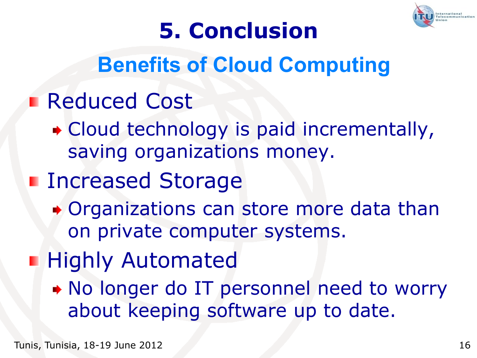

## **5. Conclusion**

## **Benefits of Cloud Computing**

- **Reduced Cost** 
	- Cloud technology is paid incrementally, saving organizations money.
- **Increased Storage** 
	- Organizations can store more data than on private computer systems.
- **Highly Automated** 
	- No longer do IT personnel need to worry about keeping software up to date.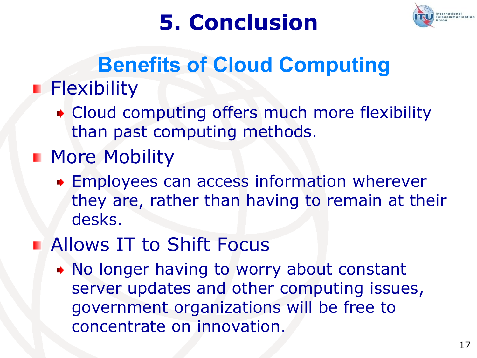



### **Flexibility Benefits of Cloud Computing**

Cloud computing offers much more flexibility than past computing methods.

### **More Mobility**

Employees can access information wherever they are, rather than having to remain at their desks.

### **Allows IT to Shift Focus**

No longer having to worry about constant server updates and other computing issues, government organizations will be free to concentrate on innovation.